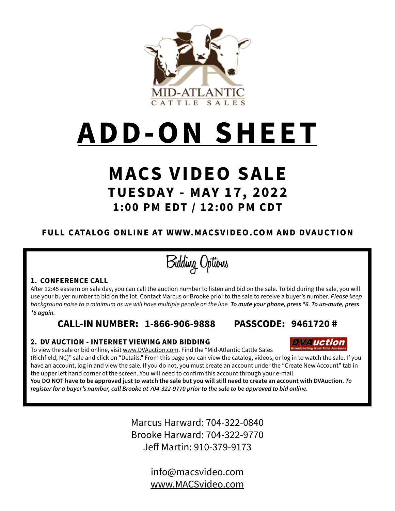

# **ADD-ON SHEET**

# **MACS VIDEO SALE TUESDAY - MAY 17, 2022 1:00 PM EDT / 12:00 PM CDT**

## **FULL CATALOG ONLINE AT WWW.MACSVIDEO.COM AND DVAUCTION**

**Bidding Options**

### **1. CONFERENCE CALL**

After 12:45 eastern on sale day, you can call the auction number to listen and bid on the sale. To bid during the sale, you will use your buyer number to bid on the lot. Contact Marcus or Brooke prior to the sale to receive a buyer's number. *Please keep background noise to a minimum as we will have multiple people on the line. To mute your phone, press \*6. To un-mute, press \*6 again.*

**CALL-IN NUMBER: 1-866-906-9888 PASSCODE: 9461720 #**

### **2. DV AUCTION - INTERNET VIEWING AND BIDDING**

To view the sale or bid online, visit www.DVAuction.com. Find the "Mid-Atlantic Cattle Sales

(Richfield, NC)" sale and click on "Details." From this page you can view the catalog, videos, or log in to watch the sale. If you have an account, log in and view the sale. If you do not, you must create an account under the "Create New Account" tab in the upper left hand corner of the screen. You will need to confirm this account through your e-mail.

**You DO NOT have to be approved just to watch the sale but you will still need to create an account with DVAuction.** *To register for a buyer's number, call Brooke at 704-322-9770 prior to the sale to be approved to bid online.*

> Marcus Harward: 704-322-0840 Brooke Harward: 704-322-9770 Jeff Martin: 910-379-9173

> > info@macsvideo.com www.MACSvideo.com